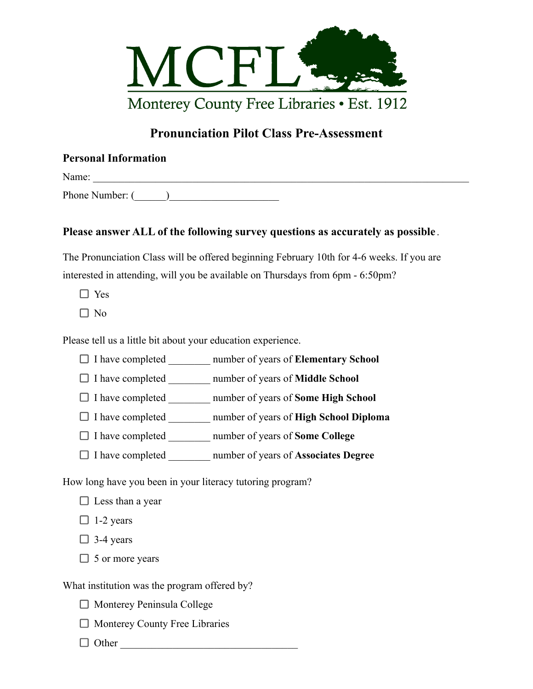

## **Pronunciation Pilot Class Pre-Assessment**

## **Personal Information**

Name:

Phone Number: (\_\_\_\_\_\_)\_\_\_\_\_\_\_\_\_\_\_\_\_\_\_\_\_\_\_\_\_

## **Please answer ALL of the following survey questions as accurately as possible** .

The Pronunciation Class will be offered beginning February 10th for 4-6 weeks. If you are interested in attending, will you be available on Thursdays from 6pm - 6:50pm?

- $\Box$  Yes
- $\Box$  No

Please tell us a little bit about your education experience.

- I have completed \_\_\_\_\_\_\_\_ number of years of **Elementary School**
- I have completed \_\_\_\_\_\_\_\_ number of years of **Middle School**
- I have completed \_\_\_\_\_\_\_\_ number of years of **Some High School**
- I have completed \_\_\_\_\_\_\_\_ number of years of **High School Diploma**
- I have completed \_\_\_\_\_\_\_\_ number of years of **Some College**
- I have completed \_\_\_\_\_\_\_\_ number of years of **Associates Degree**

How long have you been in your literacy tutoring program?

- $\Box$  Less than a year
- $\Box$  1-2 years
- $\Box$  3-4 years
- $\Box$  5 or more years

What institution was the program offered by?

- $\Box$  Monterey Peninsula College
- $\Box$  Monterey County Free Libraries
- $\Box$  Other